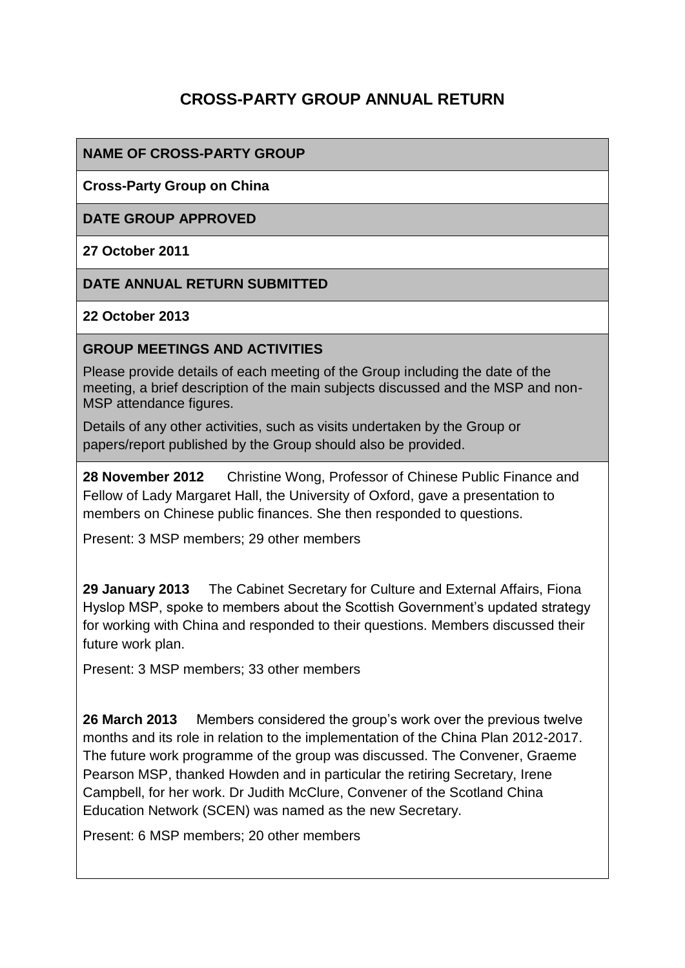# **CROSS-PARTY GROUP ANNUAL RETURN**

#### **NAME OF CROSS-PARTY GROUP**

**Cross-Party Group on China**

**DATE GROUP APPROVED**

**27 October 2011**

**DATE ANNUAL RETURN SUBMITTED**

**22 October 2013**

#### **GROUP MEETINGS AND ACTIVITIES**

Please provide details of each meeting of the Group including the date of the meeting, a brief description of the main subjects discussed and the MSP and non-MSP attendance figures.

Details of any other activities, such as visits undertaken by the Group or papers/report published by the Group should also be provided.

**28 November 2012** Christine Wong, Professor of Chinese Public Finance and Fellow of Lady Margaret Hall, the University of Oxford, gave a presentation to members on Chinese public finances. She then responded to questions.

Present: 3 MSP members; 29 other members

**29 January 2013** The Cabinet Secretary for Culture and External Affairs, Fiona Hyslop MSP, spoke to members about the Scottish Government's updated strategy for working with China and responded to their questions. Members discussed their future work plan.

Present: 3 MSP members; 33 other members

**26 March 2013** Members considered the group's work over the previous twelve months and its role in relation to the implementation of the China Plan 2012-2017. The future work programme of the group was discussed. The Convener, Graeme Pearson MSP, thanked Howden and in particular the retiring Secretary, Irene Campbell, for her work. Dr Judith McClure, Convener of the Scotland China Education Network (SCEN) was named as the new Secretary.

Present: 6 MSP members; 20 other members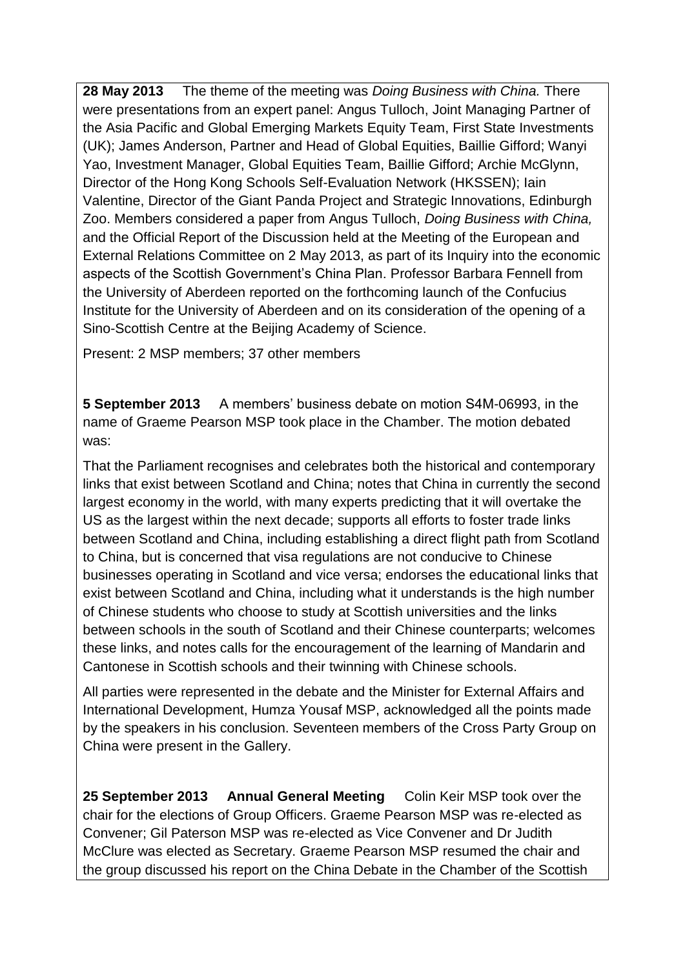**28 May 2013** The theme of the meeting was *Doing Business with China.* There were presentations from an expert panel: Angus Tulloch, Joint Managing Partner of the Asia Pacific and Global Emerging Markets Equity Team, First State Investments (UK); James Anderson, Partner and Head of Global Equities, Baillie Gifford; Wanyi Yao, Investment Manager, Global Equities Team, Baillie Gifford; Archie McGlynn, Director of the Hong Kong Schools Self-Evaluation Network (HKSSEN); Iain Valentine, Director of the Giant Panda Project and Strategic Innovations, Edinburgh Zoo. Members considered a paper from Angus Tulloch, *Doing Business with China,*  and the Official Report of the Discussion held at the Meeting of the European and External Relations Committee on 2 May 2013, as part of its Inquiry into the economic aspects of the Scottish Government's China Plan. Professor Barbara Fennell from the University of Aberdeen reported on the forthcoming launch of the Confucius Institute for the University of Aberdeen and on its consideration of the opening of a Sino-Scottish Centre at the Beijing Academy of Science.

Present: 2 MSP members; 37 other members

**5 September 2013** A members' business debate on motion S4M-06993, in the name of Graeme Pearson MSP took place in the Chamber. The motion debated was:

That the Parliament recognises and celebrates both the historical and contemporary links that exist between Scotland and China; notes that China in currently the second largest economy in the world, with many experts predicting that it will overtake the US as the largest within the next decade; supports all efforts to foster trade links between Scotland and China, including establishing a direct flight path from Scotland to China, but is concerned that visa regulations are not conducive to Chinese businesses operating in Scotland and vice versa; endorses the educational links that exist between Scotland and China, including what it understands is the high number of Chinese students who choose to study at Scottish universities and the links between schools in the south of Scotland and their Chinese counterparts; welcomes these links, and notes calls for the encouragement of the learning of Mandarin and Cantonese in Scottish schools and their twinning with Chinese schools.

All parties were represented in the debate and the Minister for External Affairs and International Development, Humza Yousaf MSP, acknowledged all the points made by the speakers in his conclusion. Seventeen members of the Cross Party Group on China were present in the Gallery.

**25 September 2013 Annual General Meeting** Colin Keir MSP took over the chair for the elections of Group Officers. Graeme Pearson MSP was re-elected as Convener; Gil Paterson MSP was re-elected as Vice Convener and Dr Judith McClure was elected as Secretary. Graeme Pearson MSP resumed the chair and the group discussed his report on the China Debate in the Chamber of the Scottish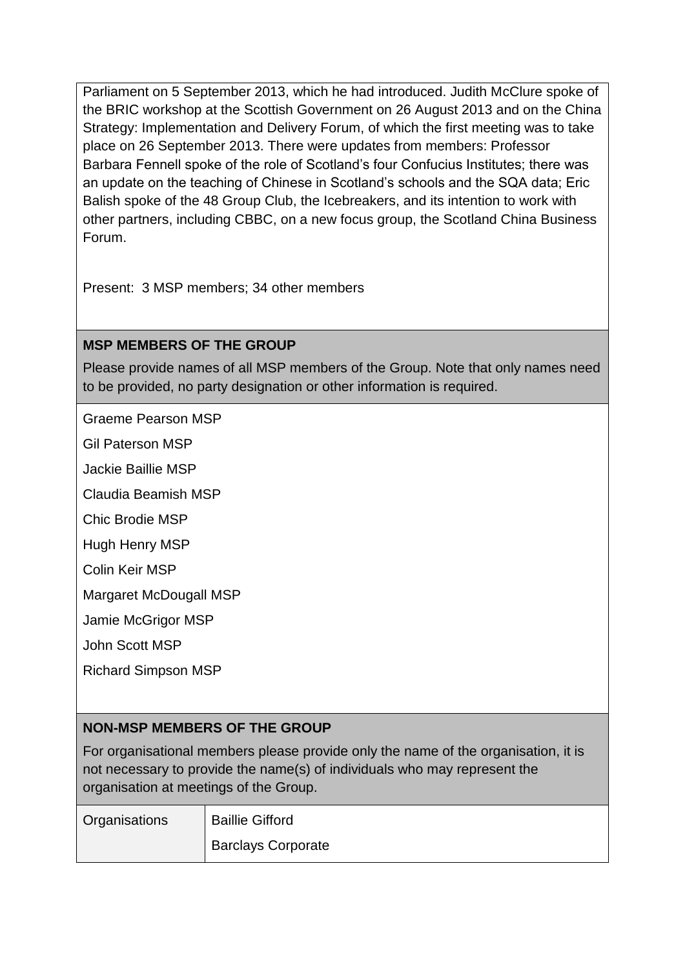Parliament on 5 September 2013, which he had introduced. Judith McClure spoke of the BRIC workshop at the Scottish Government on 26 August 2013 and on the China Strategy: Implementation and Delivery Forum, of which the first meeting was to take place on 26 September 2013. There were updates from members: Professor Barbara Fennell spoke of the role of Scotland's four Confucius Institutes; there was an update on the teaching of Chinese in Scotland's schools and the SQA data; Eric Balish spoke of the 48 Group Club, the Icebreakers, and its intention to work with other partners, including CBBC, on a new focus group, the Scotland China Business Forum.

Present: 3 MSP members; 34 other members

## **MSP MEMBERS OF THE GROUP**

Please provide names of all MSP members of the Group. Note that only names need to be provided, no party designation or other information is required.

Graeme Pearson MSP

Gil Paterson MSP

Jackie Baillie MSP

Claudia Beamish MSP

Chic Brodie MSP

Hugh Henry MSP

Colin Keir MSP

Margaret McDougall MSP

Jamie McGrigor MSP

John Scott MSP

Richard Simpson MSP

### **NON-MSP MEMBERS OF THE GROUP**

For organisational members please provide only the name of the organisation, it is not necessary to provide the name(s) of individuals who may represent the organisation at meetings of the Group.

| Organisations | <b>Baillie Gifford</b>    |
|---------------|---------------------------|
|               | <b>Barclays Corporate</b> |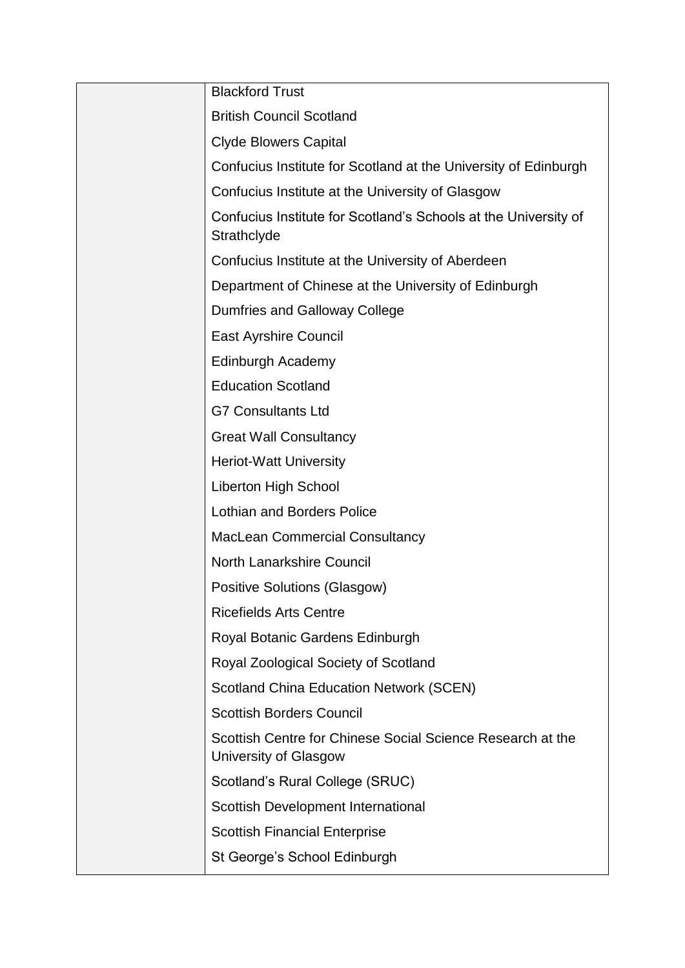| <b>Blackford Trust</b>                                                              |
|-------------------------------------------------------------------------------------|
| <b>British Council Scotland</b>                                                     |
| <b>Clyde Blowers Capital</b>                                                        |
| Confucius Institute for Scotland at the University of Edinburgh                     |
| Confucius Institute at the University of Glasgow                                    |
| Confucius Institute for Scotland's Schools at the University of<br>Strathclyde      |
| Confucius Institute at the University of Aberdeen                                   |
| Department of Chinese at the University of Edinburgh                                |
| Dumfries and Galloway College                                                       |
| <b>East Ayrshire Council</b>                                                        |
| <b>Edinburgh Academy</b>                                                            |
| <b>Education Scotland</b>                                                           |
| <b>G7 Consultants Ltd</b>                                                           |
| <b>Great Wall Consultancy</b>                                                       |
| <b>Heriot-Watt University</b>                                                       |
| <b>Liberton High School</b>                                                         |
| <b>Lothian and Borders Police</b>                                                   |
| <b>MacLean Commercial Consultancy</b>                                               |
| <b>North Lanarkshire Council</b>                                                    |
| Positive Solutions (Glasgow)                                                        |
| <b>Ricefields Arts Centre</b>                                                       |
| Royal Botanic Gardens Edinburgh                                                     |
| Royal Zoological Society of Scotland                                                |
| <b>Scotland China Education Network (SCEN)</b>                                      |
| <b>Scottish Borders Council</b>                                                     |
| Scottish Centre for Chinese Social Science Research at the<br>University of Glasgow |
| Scotland's Rural College (SRUC)                                                     |
| Scottish Development International                                                  |
| <b>Scottish Financial Enterprise</b>                                                |
| St George's School Edinburgh                                                        |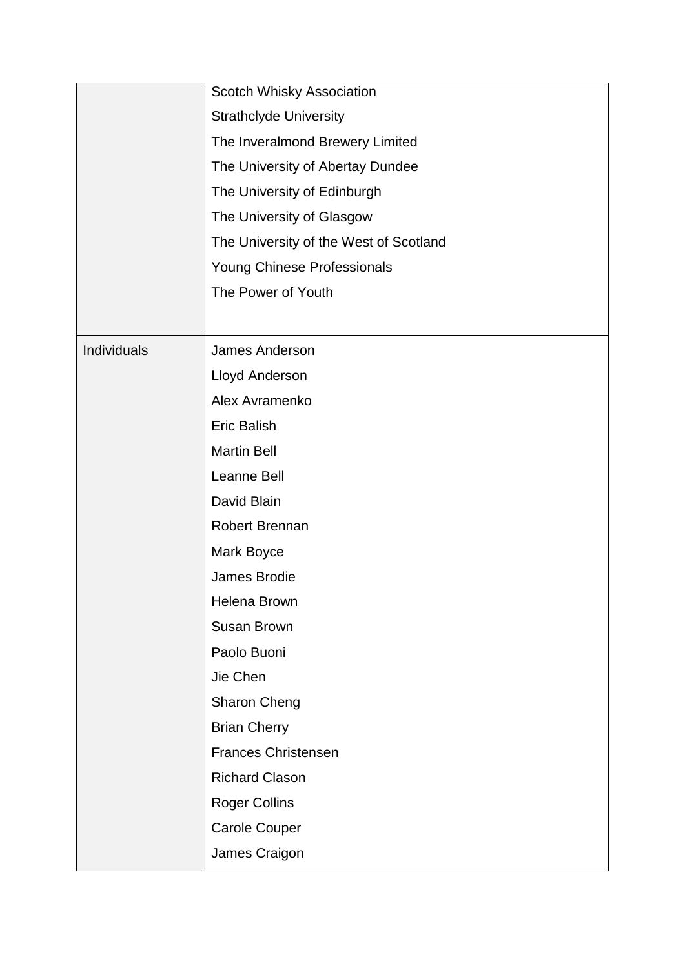|             | Scotch Whisky Association              |
|-------------|----------------------------------------|
|             | <b>Strathclyde University</b>          |
|             | The Inveralmond Brewery Limited        |
|             | The University of Abertay Dundee       |
|             | The University of Edinburgh            |
|             | The University of Glasgow              |
|             | The University of the West of Scotland |
|             | Young Chinese Professionals            |
|             | The Power of Youth                     |
|             |                                        |
| Individuals | James Anderson                         |
|             | Lloyd Anderson                         |
|             | Alex Avramenko                         |
|             | <b>Eric Balish</b>                     |
|             | <b>Martin Bell</b>                     |
|             | Leanne Bell                            |
|             | David Blain                            |
|             | <b>Robert Brennan</b>                  |
|             | Mark Boyce                             |
|             | James Brodie                           |
|             | Helena Brown                           |
|             | Susan Brown                            |
|             | Paolo Buoni                            |
|             | Jie Chen                               |
|             | Sharon Cheng                           |
|             | <b>Brian Cherry</b>                    |
|             | <b>Frances Christensen</b>             |
|             | <b>Richard Clason</b>                  |
|             | <b>Roger Collins</b>                   |
|             | <b>Carole Couper</b>                   |
|             | James Craigon                          |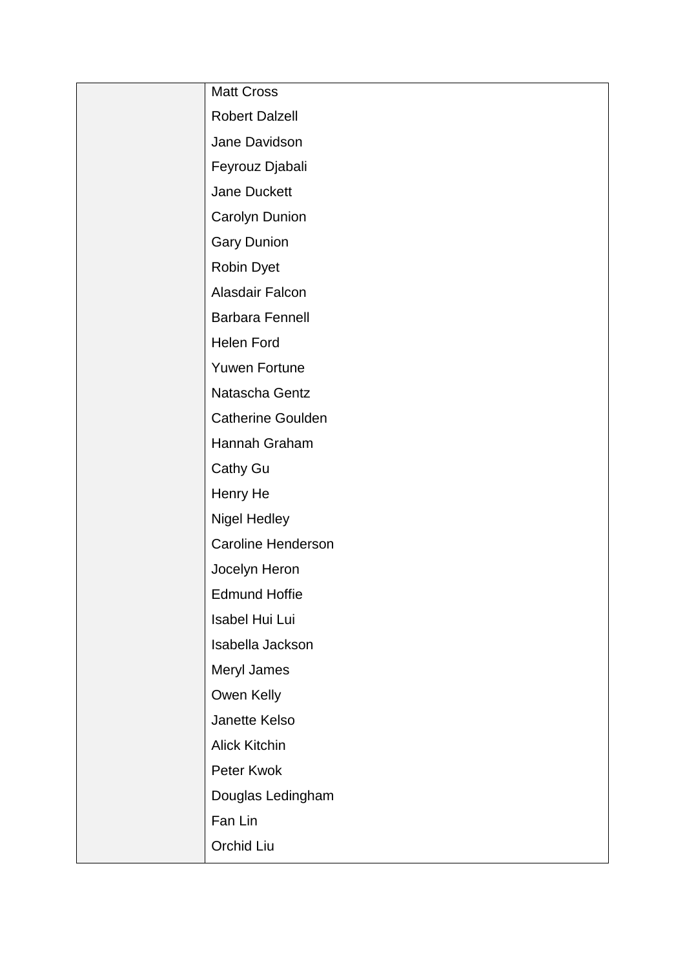| <b>Matt Cross</b>         |
|---------------------------|
| <b>Robert Dalzell</b>     |
| Jane Davidson             |
| Feyrouz Djabali           |
| Jane Duckett              |
| Carolyn Dunion            |
| <b>Gary Dunion</b>        |
| Robin Dyet                |
| Alasdair Falcon           |
| <b>Barbara Fennell</b>    |
| <b>Helen Ford</b>         |
| <b>Yuwen Fortune</b>      |
| Natascha Gentz            |
| <b>Catherine Goulden</b>  |
| Hannah Graham             |
| Cathy Gu                  |
| Henry He                  |
| <b>Nigel Hedley</b>       |
| <b>Caroline Henderson</b> |
| Jocelyn Heron             |
| <b>Edmund Hoffie</b>      |
| Isabel Hui Lui            |
| Isabella Jackson          |
| Meryl James               |
| Owen Kelly                |
| Janette Kelso             |
| <b>Alick Kitchin</b>      |
| Peter Kwok                |
| Douglas Ledingham         |
| Fan Lin                   |
| Orchid Liu                |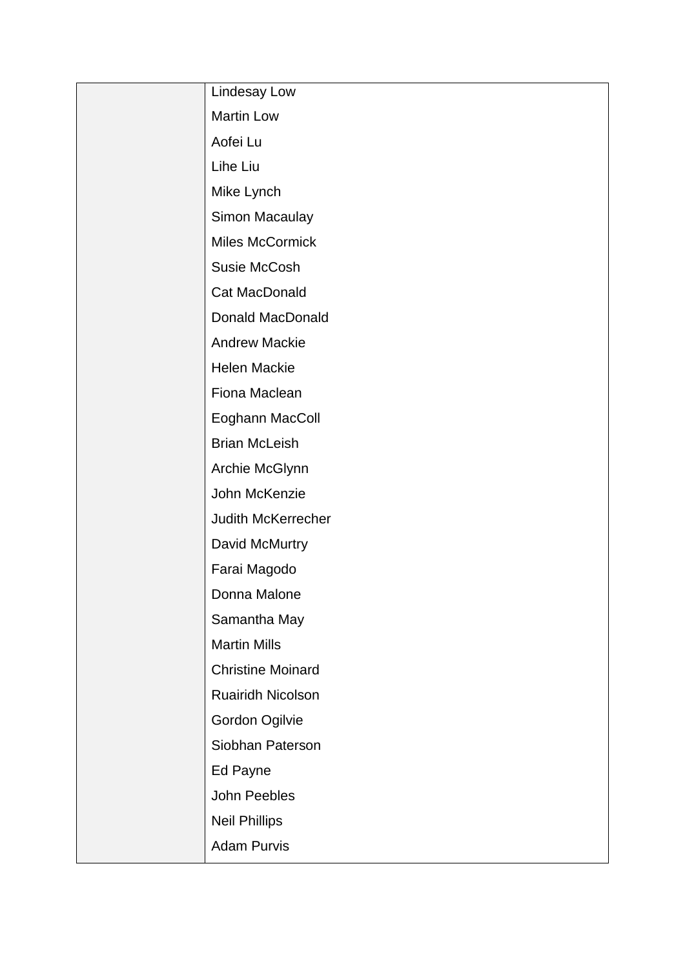| Lindesay Low              |
|---------------------------|
| Martin Low                |
| Aofei Lu                  |
| Lihe Liu                  |
| Mike Lynch                |
| Simon Macaulay            |
| Miles McCormick           |
| Susie McCosh              |
| Cat MacDonald             |
| <b>Donald MacDonald</b>   |
| <b>Andrew Mackie</b>      |
| <b>Helen Mackie</b>       |
| Fiona Maclean             |
| Eoghann MacColl           |
| <b>Brian McLeish</b>      |
| Archie McGlynn            |
| John McKenzie             |
| <b>Judith McKerrecher</b> |
| David McMurtry            |
| Farai Magodo              |
| Donna Malone              |
| Samantha May              |
| <b>Martin Mills</b>       |
| <b>Christine Moinard</b>  |
| Ruairidh Nicolson         |
| Gordon Ogilvie            |
| Siobhan Paterson          |
| Ed Payne                  |
| John Peebles              |
| <b>Neil Phillips</b>      |
| <b>Adam Purvis</b>        |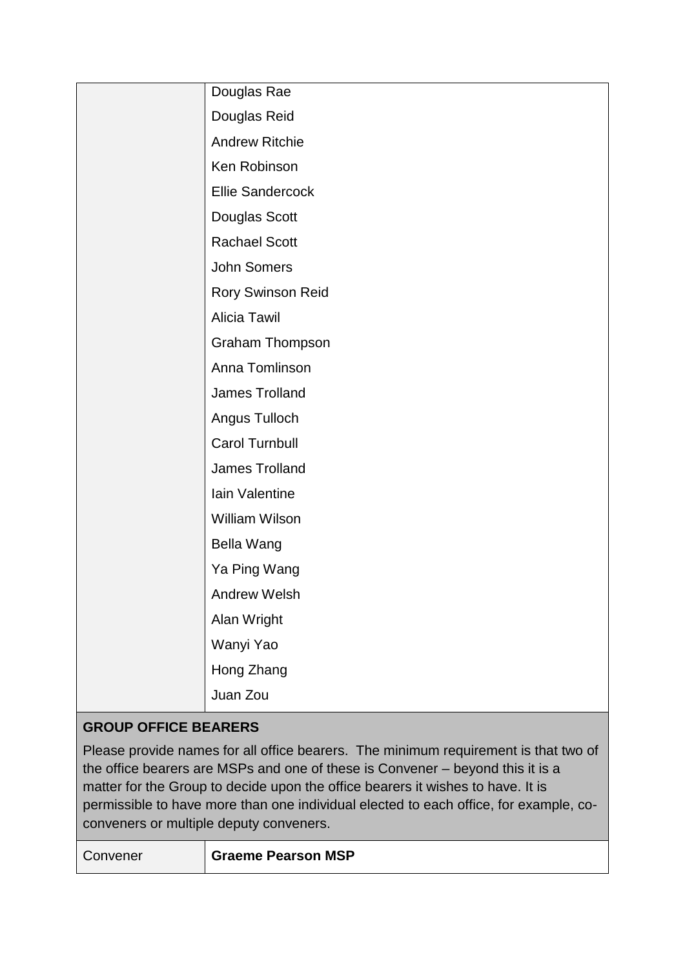| Douglas Rae             |
|-------------------------|
| Douglas Reid            |
| <b>Andrew Ritchie</b>   |
| Ken Robinson            |
| <b>Ellie Sandercock</b> |
| Douglas Scott           |
| <b>Rachael Scott</b>    |
| <b>John Somers</b>      |
| Rory Swinson Reid       |
| Alicia Tawil            |
| <b>Graham Thompson</b>  |
| Anna Tomlinson          |
| James Trolland          |
| Angus Tulloch           |
| Carol Turnbull          |
| James Trolland          |
| Iain Valentine          |
| William Wilson          |
| Bella Wang              |
| Ya Ping Wang            |
| <b>Andrew Welsh</b>     |
| Alan Wright             |
| Wanyi Yao               |
| Hong Zhang              |
| Juan Zou                |

# **GROUP OFFICE BEARERS**

Please provide names for all office bearers. The minimum requirement is that two of the office bearers are MSPs and one of these is Convener – beyond this it is a matter for the Group to decide upon the office bearers it wishes to have. It is permissible to have more than one individual elected to each office, for example, coconveners or multiple deputy conveners.

| <b>Graeme Pearson MSP</b><br><b>Convener</b> |  |
|----------------------------------------------|--|
|                                              |  |